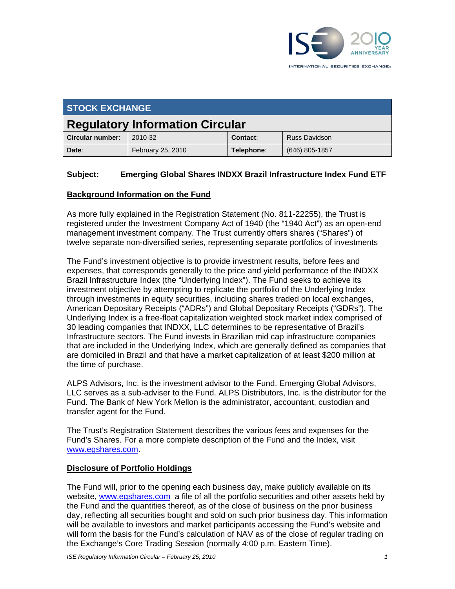

| <b>STOCK EXCHANGE</b>                  |                   |            |                      |  |
|----------------------------------------|-------------------|------------|----------------------|--|
| <b>Regulatory Information Circular</b> |                   |            |                      |  |
| Circular number:                       | 2010-32           | Contact:   | <b>Russ Davidson</b> |  |
| Date:                                  | February 25, 2010 | Telephone: | $(646)$ 805-1857     |  |

### **Subject: Emerging Global Shares INDXX Brazil Infrastructure Index Fund ETF**

#### **Background Information on the Fund**

As more fully explained in the Registration Statement (No. 811-22255), the Trust is registered under the Investment Company Act of 1940 (the "1940 Act") as an open-end management investment company. The Trust currently offers shares ("Shares") of twelve separate non-diversified series, representing separate portfolios of investments

The Fund's investment objective is to provide investment results, before fees and expenses, that corresponds generally to the price and yield performance of the INDXX Brazil Infrastructure Index (the "Underlying Index"). The Fund seeks to achieve its investment objective by attempting to replicate the portfolio of the Underlying Index through investments in equity securities, including shares traded on local exchanges, American Depositary Receipts ("ADRs") and Global Depositary Receipts ("GDRs"). The Underlying Index is a free-float capitalization weighted stock market index comprised of 30 leading companies that INDXX, LLC determines to be representative of Brazil's Infrastructure sectors. The Fund invests in Brazilian mid cap infrastructure companies that are included in the Underlying Index, which are generally defined as companies that are domiciled in Brazil and that have a market capitalization of at least \$200 million at the time of purchase.

ALPS Advisors, Inc. is the investment advisor to the Fund. Emerging Global Advisors, LLC serves as a sub-adviser to the Fund. ALPS Distributors, Inc. is the distributor for the Fund. The Bank of New York Mellon is the administrator, accountant, custodian and transfer agent for the Fund.

The Trust's Registration Statement describes the various fees and expenses for the Fund's Shares. For a more complete description of the Fund and the Index, visit www.egshares.com.

#### **Disclosure of Portfolio Holdings**

The Fund will, prior to the opening each business day, make publicly available on its website, www.egshares.com a file of all the portfolio securities and other assets held by the Fund and the quantities thereof, as of the close of business on the prior business day, reflecting all securities bought and sold on such prior business day. This information will be available to investors and market participants accessing the Fund's website and will form the basis for the Fund's calculation of NAV as of the close of regular trading on the Exchange's Core Trading Session (normally 4:00 p.m. Eastern Time).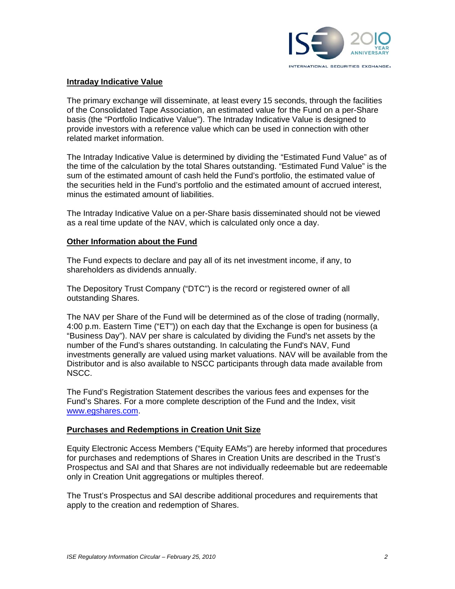

### **Intraday Indicative Value**

The primary exchange will disseminate, at least every 15 seconds, through the facilities of the Consolidated Tape Association, an estimated value for the Fund on a per-Share basis (the "Portfolio Indicative Value"). The Intraday Indicative Value is designed to provide investors with a reference value which can be used in connection with other related market information.

The Intraday Indicative Value is determined by dividing the "Estimated Fund Value" as of the time of the calculation by the total Shares outstanding. "Estimated Fund Value" is the sum of the estimated amount of cash held the Fund's portfolio, the estimated value of the securities held in the Fund's portfolio and the estimated amount of accrued interest, minus the estimated amount of liabilities.

The Intraday Indicative Value on a per-Share basis disseminated should not be viewed as a real time update of the NAV, which is calculated only once a day.

#### **Other Information about the Fund**

The Fund expects to declare and pay all of its net investment income, if any, to shareholders as dividends annually.

The Depository Trust Company ("DTC") is the record or registered owner of all outstanding Shares.

The NAV per Share of the Fund will be determined as of the close of trading (normally, 4:00 p.m. Eastern Time ("ET")) on each day that the Exchange is open for business (a "Business Day"). NAV per share is calculated by dividing the Fund's net assets by the number of the Fund's shares outstanding. In calculating the Fund's NAV, Fund investments generally are valued using market valuations. NAV will be available from the Distributor and is also available to NSCC participants through data made available from NSCC.

The Fund's Registration Statement describes the various fees and expenses for the Fund's Shares. For a more complete description of the Fund and the Index, visit www.egshares.com.

#### **Purchases and Redemptions in Creation Unit Size**

Equity Electronic Access Members ("Equity EAMs") are hereby informed that procedures for purchases and redemptions of Shares in Creation Units are described in the Trust's Prospectus and SAI and that Shares are not individually redeemable but are redeemable only in Creation Unit aggregations or multiples thereof.

The Trust's Prospectus and SAI describe additional procedures and requirements that apply to the creation and redemption of Shares.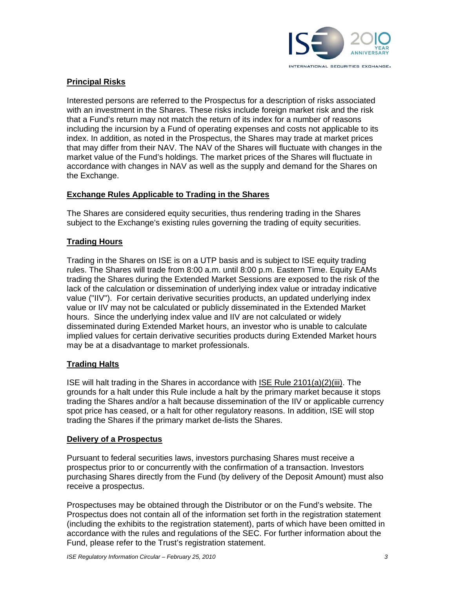

# **Principal Risks**

Interested persons are referred to the Prospectus for a description of risks associated with an investment in the Shares. These risks include foreign market risk and the risk that a Fund's return may not match the return of its index for a number of reasons including the incursion by a Fund of operating expenses and costs not applicable to its index. In addition, as noted in the Prospectus, the Shares may trade at market prices that may differ from their NAV. The NAV of the Shares will fluctuate with changes in the market value of the Fund's holdings. The market prices of the Shares will fluctuate in accordance with changes in NAV as well as the supply and demand for the Shares on the Exchange.

### **Exchange Rules Applicable to Trading in the Shares**

The Shares are considered equity securities, thus rendering trading in the Shares subject to the Exchange's existing rules governing the trading of equity securities.

## **Trading Hours**

Trading in the Shares on ISE is on a UTP basis and is subject to ISE equity trading rules. The Shares will trade from 8:00 a.m. until 8:00 p.m. Eastern Time. Equity EAMs trading the Shares during the Extended Market Sessions are exposed to the risk of the lack of the calculation or dissemination of underlying index value or intraday indicative value ("IIV"). For certain derivative securities products, an updated underlying index value or IIV may not be calculated or publicly disseminated in the Extended Market hours. Since the underlying index value and IIV are not calculated or widely disseminated during Extended Market hours, an investor who is unable to calculate implied values for certain derivative securities products during Extended Market hours may be at a disadvantage to market professionals.

### **Trading Halts**

ISE will halt trading in the Shares in accordance with ISE Rule 2101(a)(2)(iii). The grounds for a halt under this Rule include a halt by the primary market because it stops trading the Shares and/or a halt because dissemination of the IIV or applicable currency spot price has ceased, or a halt for other regulatory reasons. In addition, ISE will stop trading the Shares if the primary market de-lists the Shares.

### **Delivery of a Prospectus**

Pursuant to federal securities laws, investors purchasing Shares must receive a prospectus prior to or concurrently with the confirmation of a transaction. Investors purchasing Shares directly from the Fund (by delivery of the Deposit Amount) must also receive a prospectus.

Prospectuses may be obtained through the Distributor or on the Fund's website. The Prospectus does not contain all of the information set forth in the registration statement (including the exhibits to the registration statement), parts of which have been omitted in accordance with the rules and regulations of the SEC. For further information about the Fund, please refer to the Trust's registration statement.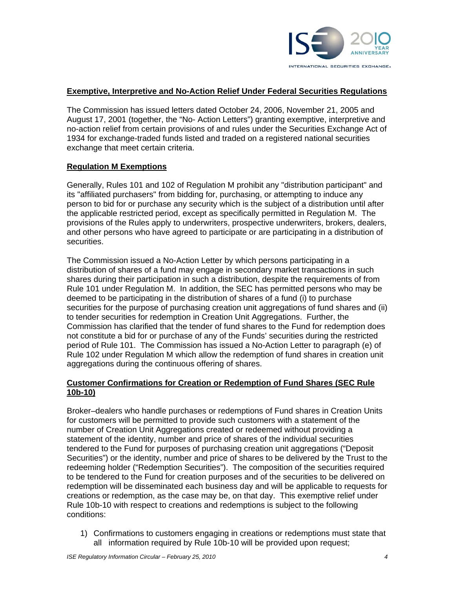

### **Exemptive, Interpretive and No-Action Relief Under Federal Securities Regulations**

The Commission has issued letters dated October 24, 2006, November 21, 2005 and August 17, 2001 (together, the "No- Action Letters") granting exemptive, interpretive and no-action relief from certain provisions of and rules under the Securities Exchange Act of 1934 for exchange-traded funds listed and traded on a registered national securities exchange that meet certain criteria.

#### **Regulation M Exemptions**

Generally, Rules 101 and 102 of Regulation M prohibit any "distribution participant" and its "affiliated purchasers" from bidding for, purchasing, or attempting to induce any person to bid for or purchase any security which is the subject of a distribution until after the applicable restricted period, except as specifically permitted in Regulation M. The provisions of the Rules apply to underwriters, prospective underwriters, brokers, dealers, and other persons who have agreed to participate or are participating in a distribution of securities.

The Commission issued a No-Action Letter by which persons participating in a distribution of shares of a fund may engage in secondary market transactions in such shares during their participation in such a distribution, despite the requirements of from Rule 101 under Regulation M. In addition, the SEC has permitted persons who may be deemed to be participating in the distribution of shares of a fund (i) to purchase securities for the purpose of purchasing creation unit aggregations of fund shares and (ii) to tender securities for redemption in Creation Unit Aggregations. Further, the Commission has clarified that the tender of fund shares to the Fund for redemption does not constitute a bid for or purchase of any of the Funds' securities during the restricted period of Rule 101. The Commission has issued a No-Action Letter to paragraph (e) of Rule 102 under Regulation M which allow the redemption of fund shares in creation unit aggregations during the continuous offering of shares.

### **Customer Confirmations for Creation or Redemption of Fund Shares (SEC Rule 10b-10)**

Broker–dealers who handle purchases or redemptions of Fund shares in Creation Units for customers will be permitted to provide such customers with a statement of the number of Creation Unit Aggregations created or redeemed without providing a statement of the identity, number and price of shares of the individual securities tendered to the Fund for purposes of purchasing creation unit aggregations ("Deposit Securities") or the identity, number and price of shares to be delivered by the Trust to the redeeming holder ("Redemption Securities"). The composition of the securities required to be tendered to the Fund for creation purposes and of the securities to be delivered on redemption will be disseminated each business day and will be applicable to requests for creations or redemption, as the case may be, on that day. This exemptive relief under Rule 10b-10 with respect to creations and redemptions is subject to the following conditions:

1) Confirmations to customers engaging in creations or redemptions must state that all information required by Rule 10b-10 will be provided upon request;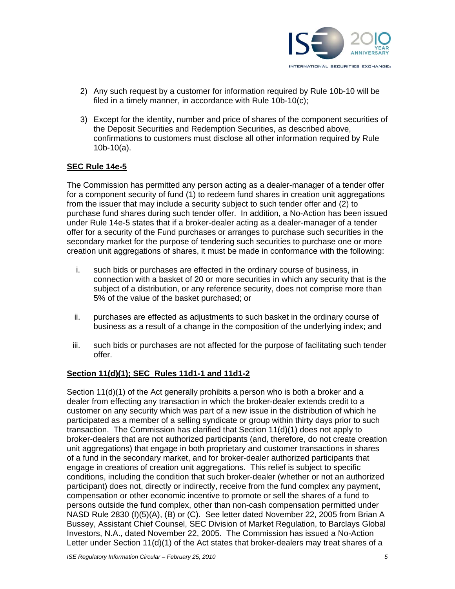

- 2) Any such request by a customer for information required by Rule 10b-10 will be filed in a timely manner, in accordance with Rule 10b-10(c);
- 3) Except for the identity, number and price of shares of the component securities of the Deposit Securities and Redemption Securities, as described above, confirmations to customers must disclose all other information required by Rule 10b-10(a).

### **SEC Rule 14e-5**

The Commission has permitted any person acting as a dealer-manager of a tender offer for a component security of fund (1) to redeem fund shares in creation unit aggregations from the issuer that may include a security subject to such tender offer and (2) to purchase fund shares during such tender offer. In addition, a No-Action has been issued under Rule 14e-5 states that if a broker-dealer acting as a dealer-manager of a tender offer for a security of the Fund purchases or arranges to purchase such securities in the secondary market for the purpose of tendering such securities to purchase one or more creation unit aggregations of shares, it must be made in conformance with the following:

- i. such bids or purchases are effected in the ordinary course of business, in connection with a basket of 20 or more securities in which any security that is the subject of a distribution, or any reference security, does not comprise more than 5% of the value of the basket purchased; or
- ii. purchases are effected as adjustments to such basket in the ordinary course of business as a result of a change in the composition of the underlying index; and
- iii. such bids or purchases are not affected for the purpose of facilitating such tender offer.

#### **Section 11(d)(1); SEC Rules 11d1-1 and 11d1-2**

Section 11(d)(1) of the Act generally prohibits a person who is both a broker and a dealer from effecting any transaction in which the broker-dealer extends credit to a customer on any security which was part of a new issue in the distribution of which he participated as a member of a selling syndicate or group within thirty days prior to such transaction. The Commission has clarified that Section 11(d)(1) does not apply to broker-dealers that are not authorized participants (and, therefore, do not create creation unit aggregations) that engage in both proprietary and customer transactions in shares of a fund in the secondary market, and for broker-dealer authorized participants that engage in creations of creation unit aggregations. This relief is subject to specific conditions, including the condition that such broker-dealer (whether or not an authorized participant) does not, directly or indirectly, receive from the fund complex any payment, compensation or other economic incentive to promote or sell the shares of a fund to persons outside the fund complex, other than non-cash compensation permitted under NASD Rule 2830 (I)(5)(A), (B) or (C). See letter dated November 22, 2005 from Brian A Bussey, Assistant Chief Counsel, SEC Division of Market Regulation, to Barclays Global Investors, N.A., dated November 22, 2005. The Commission has issued a No-Action Letter under Section 11(d)(1) of the Act states that broker-dealers may treat shares of a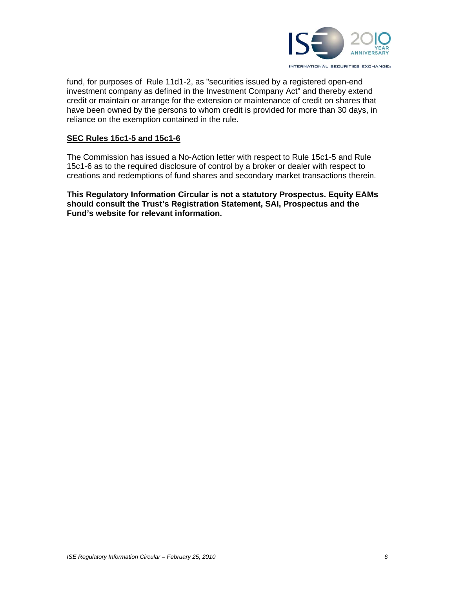

fund, for purposes of Rule 11d1-2, as "securities issued by a registered open-end investment company as defined in the Investment Company Act" and thereby extend credit or maintain or arrange for the extension or maintenance of credit on shares that have been owned by the persons to whom credit is provided for more than 30 days, in reliance on the exemption contained in the rule.

#### **SEC Rules 15c1-5 and 15c1-6**

The Commission has issued a No-Action letter with respect to Rule 15c1-5 and Rule 15c1-6 as to the required disclosure of control by a broker or dealer with respect to creations and redemptions of fund shares and secondary market transactions therein.

**This Regulatory Information Circular is not a statutory Prospectus. Equity EAMs should consult the Trust's Registration Statement, SAI, Prospectus and the Fund's website for relevant information.**